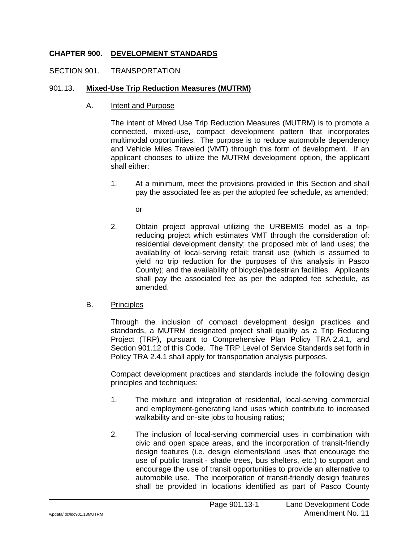# **CHAPTER 900. DEVELOPMENT STANDARDS**

### SECTION 901. TRANSPORTATION

#### 901.13. **Mixed-Use Trip Reduction Measures (MUTRM)**

A. Intent and Purpose

The intent of Mixed Use Trip Reduction Measures (MUTRM) is to promote a connected, mixed-use, compact development pattern that incorporates multimodal opportunities. The purpose is to reduce automobile dependency and Vehicle Miles Traveled (VMT) through this form of development. If an applicant chooses to utilize the MUTRM development option, the applicant shall either:

1. At a minimum, meet the provisions provided in this Section and shall pay the associated fee as per the adopted fee schedule, as amended;

or

2. Obtain project approval utilizing the URBEMIS model as a tripreducing project which estimates VMT through the consideration of: residential development density; the proposed mix of land uses; the availability of local-serving retail; transit use (which is assumed to yield no trip reduction for the purposes of this analysis in Pasco County); and the availability of bicycle/pedestrian facilities. Applicants shall pay the associated fee as per the adopted fee schedule, as amended.

#### B. Principles

Through the inclusion of compact development design practices and standards, a MUTRM designated project shall qualify as a Trip Reducing Project (TRP), pursuant to Comprehensive Plan Policy TRA 2.4.1, and Section 901.12 of this Code. The TRP Level of Service Standards set forth in Policy TRA 2.4.1 shall apply for transportation analysis purposes.

Compact development practices and standards include the following design principles and techniques:

- 1. The mixture and integration of residential, local-serving commercial and employment-generating land uses which contribute to increased walkability and on-site jobs to housing ratios;
- 2. The inclusion of local-serving commercial uses in combination with civic and open space areas, and the incorporation of transit-friendly design features (i.e. design elements/land uses that encourage the use of public transit - shade trees, bus shelters, etc.) to support and encourage the use of transit opportunities to provide an alternative to automobile use. The incorporation of transit-friendly design features shall be provided in locations identified as part of Pasco County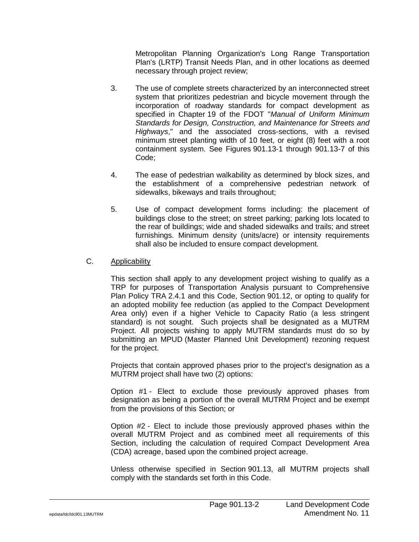Metropolitan Planning Organization's Long Range Transportation Plan's (LRTP) Transit Needs Plan, and in other locations as deemed necessary through project review;

- 3. The use of complete streets characterized by an interconnected street system that prioritizes pedestrian and bicycle movement through the incorporation of roadway standards for compact development as specified in Chapter 19 of the FDOT "*Manual of Uniform Minimum Standards for Design, Construction, and Maintenance for Streets and Highways*," and the associated cross-sections, with a revised minimum street planting width of 10 feet, or eight (8) feet with a root containment system. See Figures 901.13-1 through 901.13-7 of this Code;
- 4. The ease of pedestrian walkability as determined by block sizes, and the establishment of a comprehensive pedestrian network of sidewalks, bikeways and trails throughout;
- 5. Use of compact development forms including: the placement of buildings close to the street; on street parking; parking lots located to the rear of buildings; wide and shaded sidewalks and trails; and street furnishings. Minimum density (units/acre) or intensity requirements shall also be included to ensure compact development.

# C. Applicability

This section shall apply to any development project wishing to qualify as a TRP for purposes of Transportation Analysis pursuant to Comprehensive Plan Policy TRA 2.4.1 and this Code, Section 901.12, or opting to qualify for an adopted mobility fee reduction (as applied to the Compact Development Area only) even if a higher Vehicle to Capacity Ratio (a less stringent standard) is not sought. Such projects shall be designated as a MUTRM Project. All projects wishing to apply MUTRM standards must do so by submitting an MPUD (Master Planned Unit Development) rezoning request for the project.

Projects that contain approved phases prior to the project's designation as a MUTRM project shall have two (2) options:

Option #1 - Elect to exclude those previously approved phases from designation as being a portion of the overall MUTRM Project and be exempt from the provisions of this Section; or

Option #2 - Elect to include those previously approved phases within the overall MUTRM Project and as combined meet all requirements of this Section, including the calculation of required Compact Development Area (CDA) acreage, based upon the combined project acreage.

Unless otherwise specified in Section 901.13, all MUTRM projects shall comply with the standards set forth in this Code.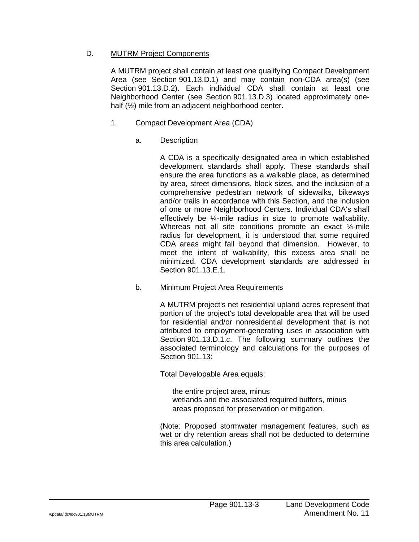# D. MUTRM Project Components

A MUTRM project shall contain at least one qualifying Compact Development Area (see Section 901.13.D.1) and may contain non-CDA area(s) (see Section 901.13.D.2). Each individual CDA shall contain at least one Neighborhood Center (see Section 901.13.D.3) located approximately onehalf (½) mile from an adjacent neighborhood center.

- 1. Compact Development Area (CDA)
	- a. Description

A CDA is a specifically designated area in which established development standards shall apply. These standards shall ensure the area functions as a walkable place, as determined by area, street dimensions, block sizes, and the inclusion of a comprehensive pedestrian network of sidewalks, bikeways and/or trails in accordance with this Section, and the inclusion of one or more Neighborhood Centers. Individual CDA's shall effectively be ¼-mile radius in size to promote walkability. Whereas not all site conditions promote an exact ¼-mile radius for development, it is understood that some required CDA areas might fall beyond that dimension. However, to meet the intent of walkability, this excess area shall be minimized. CDA development standards are addressed in Section 901.13.E.1.

b. Minimum Project Area Requirements

A MUTRM project's net residential upland acres represent that portion of the project's total developable area that will be used for residential and/or nonresidential development that is not attributed to employment-generating uses in association with Section 901.13.D.1.c. The following summary outlines the associated terminology and calculations for the purposes of Section 901.13:

Total Developable Area equals:

the entire project area, minus wetlands and the associated required buffers, minus areas proposed for preservation or mitigation.

(Note: Proposed stormwater management features, such as wet or dry retention areas shall not be deducted to determine this area calculation.)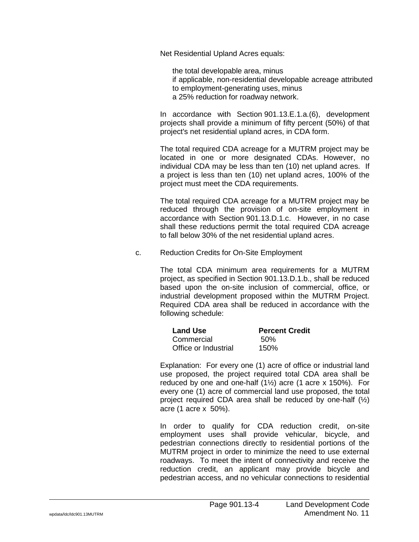Net Residential Upland Acres equals:

the total developable area, minus if applicable, non-residential developable acreage attributed to employment-generating uses, minus a 25% reduction for roadway network.

In accordance with Section 901.13.E.1.a.(6), development projects shall provide a minimum of fifty percent (50%) of that project's net residential upland acres, in CDA form.

The total required CDA acreage for a MUTRM project may be located in one or more designated CDAs. However, no individual CDA may be less than ten (10) net upland acres. If a project is less than ten (10) net upland acres, 100% of the project must meet the CDA requirements.

The total required CDA acreage for a MUTRM project may be reduced through the provision of on-site employment in accordance with Section 901.13.D.1.c. However, in no case shall these reductions permit the total required CDA acreage to fall below 30% of the net residential upland acres.

c. Reduction Credits for On-Site Employment

The total CDA minimum area requirements for a MUTRM project, as specified in Section 901.13.D.1.b., shall be reduced based upon the on-site inclusion of commercial, office, or industrial development proposed within the MUTRM Project. Required CDA area shall be reduced in accordance with the following schedule:

| <b>Land Use</b>      | <b>Percent Credit</b> |
|----------------------|-----------------------|
| Commercial           | .50%                  |
| Office or Industrial | 150%                  |

Explanation: For every one (1) acre of office or industrial land use proposed, the project required total CDA area shall be reduced by one and one-half  $(1\frac{1}{2})$  acre  $(1 \text{ acre } x \text{ 150\%})$ . For every one (1) acre of commercial land use proposed, the total project required CDA area shall be reduced by one-half  $(\frac{1}{2})$ acre (1 acre x 50%).

In order to qualify for CDA reduction credit, on-site employment uses shall provide vehicular, bicycle, and pedestrian connections directly to residential portions of the MUTRM project in order to minimize the need to use external roadways. To meet the intent of connectivity and receive the reduction credit, an applicant may provide bicycle and pedestrian access, and no vehicular connections to residential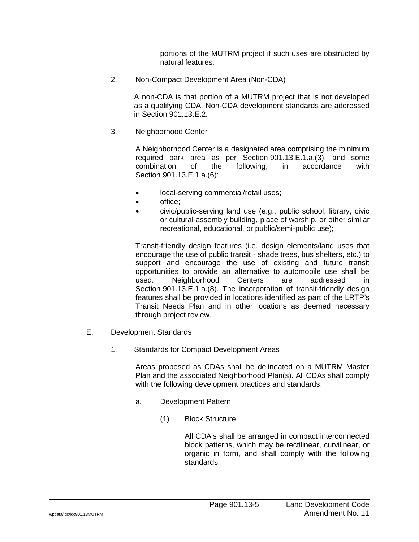portions of the MUTRM project if such uses are obstructed by natural features.

2. Non-Compact Development Area (Non-CDA)

A non-CDA is that portion of a MUTRM project that is not developed as a qualifying CDA. Non-CDA development standards are addressed in Section 901.13.E.2.

3. Neighborhood Center

A Neighborhood Center is a designated area comprising the minimum required park area as per Section 901.13.E.1.a.(3), and some combination of the following, in accordance with Section 901.13.E.1.a.(6):

- local-serving commercial/retail uses;
- office;
- civic/public-serving land use (e.g., public school, library, civic or cultural assembly building, place of worship, or other similar recreational, educational, or public/semi-public use);

Transit-friendly design features (i.e. design elements/land uses that encourage the use of public transit - shade trees, bus shelters, etc.) to support and encourage the use of existing and future transit opportunities to provide an alternative to automobile use shall be used. Neighborhood Centers are addressed in Section 901.13.E.1.a.(8). The incorporation of transit-friendly design features shall be provided in locations identified as part of the LRTP's Transit Needs Plan and in other locations as deemed necessary through project review.

- E. Development Standards
	- 1. Standards for Compact Development Areas

Areas proposed as CDAs shall be delineated on a MUTRM Master Plan and the associated Neighborhood Plan(s). All CDAs shall comply with the following development practices and standards.

- a. Development Pattern
	- (1) Block Structure

All CDA's shall be arranged in compact interconnected block patterns, which may be rectilinear, curvilinear, or organic in form, and shall comply with the following standards: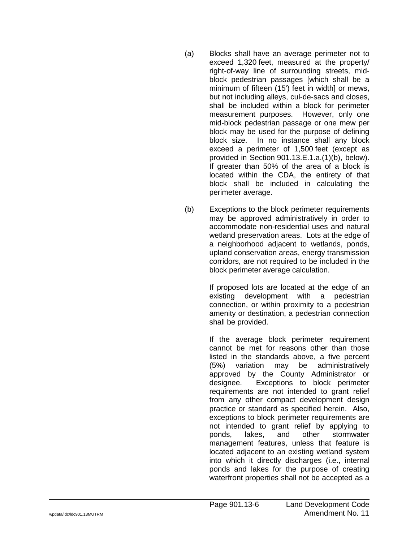- (a) Blocks shall have an average perimeter not to exceed 1 ,320 feet , measured at the property/ right -of -way line of surrounding streets , mid block pedestrian passages [which shall be a minimum of fifteen (15') feet in width] or mews , but not including alleys , cul -de -sacs and closes , shall be included within a block for perimeter measurement purposes. However , only one mid -block pedestrian passage or one mew per block may be used for the purpose of defining block size. In no instance shall any block exceed a perimeter of 1 ,500 feet (except as provided in Section 901.13.E.1.a.(1)(b) , below). If greater than 50% of the area of a block is located within the CDA , the entirety of that block shall be included in calculating the perimeter average.
- (b) Exceptions to the block perimeter requirements may be approved administratively in order to accommodate non -residential uses and natural wetland preservation areas. Lots at the edge of a neighborhood adjacent to wetlands , ponds , upland conservation areas , energy transmission corridors , are not required to be included in the block perimeter average calculation.

If proposed lots are located at the edge of an existing development with a pedestrian connection , or within proximity to a pedestrian amenity or destination , a pedestrian connection shall be provided.

If the average block perimeter requirement cannot be met for reasons other than those listed in the standards above, a five percent (5%) variation may be administratively approved by the County Administrator or designee. Exceptions to block perimeter requirements are not intended to grant relief from any other compact development design practice or standard as specified herein. Also , exceptions to block perimeter requirements are not intended to grant relief by applying to ponds lakes. , and other stormwater management features , unless that feature is located adjacent to an existing wetland system into which it directly discharges (i.e. , internal ponds and lakes for the purpose of creating waterfront properties shall not be accepted as a

Page 901.13 -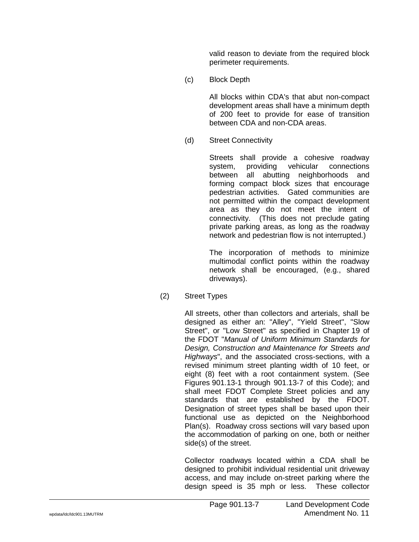valid reason to deviate from the required block perimeter requirements.

(c) Block Depth

All blocks within CDA's that abut non-compact development areas shall have a minimum depth of 200 feet to provide for ease of transition between CDA and non-CDA areas.

(d) Street Connectivity

Streets shall provide a cohesive roadway system, providing vehicular connections between all abutting neighborhoods and forming compact block sizes that encourage pedestrian activities. Gated communities are not permitted within the compact development area as they do not meet the intent of connectivity. (This does not preclude gating private parking areas, as long as the roadway network and pedestrian flow is not interrupted.)

The incorporation of methods to minimize multimodal conflict points within the roadway network shall be encouraged, (e.g., shared driveways).

(2) Street Types

All streets, other than collectors and arterials, shall be designed as either an: "Alley", "Yield Street", "Slow Street", or "Low Street" as specified in Chapter 19 of the FDOT "*Manual of Uniform Minimum Standards for Design, Construction and Maintenance for Streets and Highways*", and the associated cross-sections, with a revised minimum street planting width of 10 feet, or eight (8) feet with a root containment system. (See Figures 901.13-1 through 901.13-7 of this Code); and shall meet FDOT Complete Street policies and any standards that are established by the FDOT. Designation of street types shall be based upon their functional use as depicted on the Neighborhood Plan(s). Roadway cross sections will vary based upon the accommodation of parking on one, both or neither side(s) of the street.

Collector roadways located within a CDA shall be designed to prohibit individual residential unit driveway access, and may include on-street parking where the design speed is 35 mph or less. These collector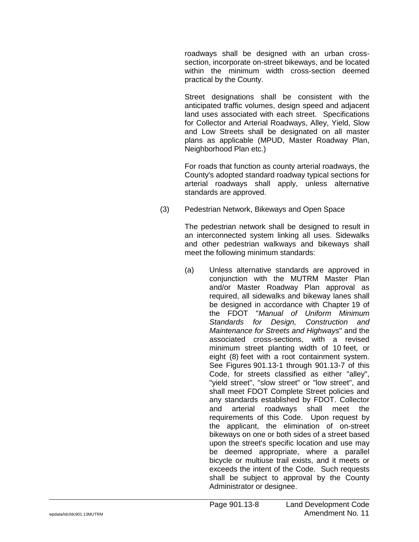roadways shall be designed with an urban crosssection, incorporate on-street bikeways, and be located within the minimum width cross-section deemed practical by the County.

Street designations shall be consistent with the anticipated traffic volumes, design speed and adjacent land uses associated with each street. Specifications for Collector and Arterial Roadways, Alley, Yield, Slow and Low Streets shall be designated on all master plans as applicable (MPUD, Master Roadway Plan, Neighborhood Plan etc.)

For roads that function as county arterial roadways, the County's adopted standard roadway typical sections for arterial roadways shall apply, unless alternative standards are approved.

(3) Pedestrian Network, Bikeways and Open Space

The pedestrian network shall be designed to result in an interconnected system linking all uses. Sidewalks and other pedestrian walkways and bikeways shall meet the following minimum standards:

(a) Unless alternative standards are approved in conjunction with the MUTRM Master Plan and/or Master Roadway Plan approval as required, all sidewalks and bikeway lanes shall be designed in accordance with Chapter 19 of the FDOT "*Manual of Uniform Minimum Standards for Design, Construction and Maintenance for Streets and Highways*" and the associated cross-sections, with a revised minimum street planting width of 10 feet, or eight (8) feet with a root containment system. See Figures 901.13-1 through 901.13-7 of this Code, for streets classified as either "alley", "yield street", "slow street" or "low street", and shall meet FDOT Complete Street policies and any standards established by FDOT. Collector and arterial roadways shall meet the requirements of this Code. Upon request by the applicant, the elimination of on-street bikeways on one or both sides of a street based upon the street's specific location and use may be deemed appropriate, where a parallel bicycle or multiuse trail exists, and it meets or exceeds the intent of the Code. Such requests shall be subject to approval by the County Administrator or designee.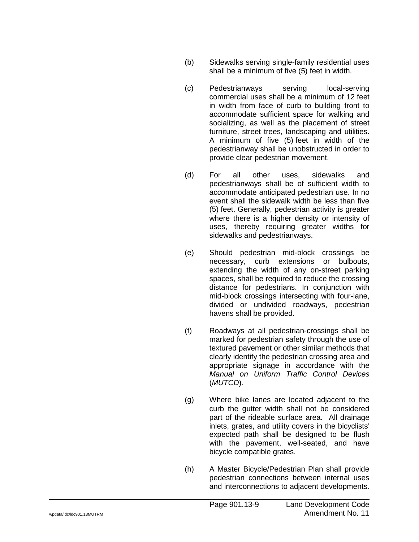- (b) Sidewalks serving single -family residential uses shall be a minimum of five (5) feet in width.
- (c) Pedestrianways serving local-serving commercial uses shall be a minimum of 12 feet in width from face of curb to building front to accommodate sufficient space for walking and socializing , as well as the placement of street furniture , street trees , landscaping and utilities. A minimum of five (5) feet in width of the pedestrianway shall be unobstructed in order to provide clear pedestrian movement.
- (d) For all other uses sidewalks and pedestrianways shall be of sufficient width to accommodate anticipated pedestrian use. In no event shall the sidewalk width be less than five (5) feet. Generally , pedestrian activity is greater where there is a higher density or intensity of uses , thereby requiring greater widths for sidewalks and pedestrianways.
- (e) Should pedestrian mid -block crossings be necessary , curb extensions or bulbouts , extending the width of any on -street parking spaces , shall be required to reduce the crossing distance for pedestrians. In conjunction with mid -block crossings intersecting with four -lane , divided or undivided roadways , pedestrian havens shall be provided.
- (f) Roadways at all pedestrian -crossings shall be marked for pedestrian safety through the use of textured pavement or other similar methods that clearly identify the pedestrian crossing area and appropriate signage in accordance with the *Manual on Uniform Traffic Control Devices* (*MUTCD*).
- (g) Where bike lanes are located adjacent to the curb the gutter width shall not be considered part of the rideable surface area. All drainage inlets , grates , and utility covers in the bicyclists' expected path shall be designed to be flush with the pavement , well -seated , and have bicycle compatible grates.
- (h) A Master Bicycle/Pedestrian Plan shall provide pedestrian connections between internal uses and interconnections to adjacent developments.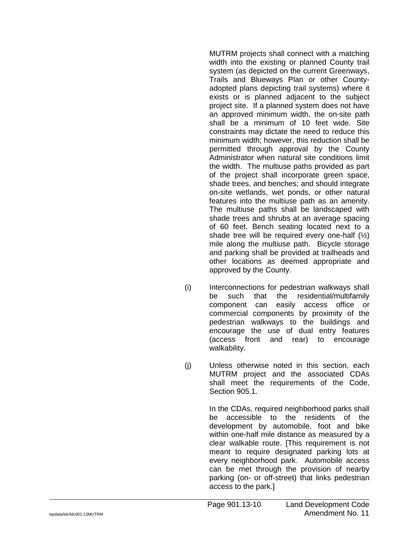MUTRM projects shall connect with a matching width into the existing or planned County trail system (as depicted on the current Greenways , Trails and Blueways Plan or other County adopted plans depicting trail systems) where it exists or is planned adjacent to the subject project site. If a planned system does not have an approved minimum width , the on -site path shall be a minimum of 10 feet wide. Site constraints may dictate the need to reduce this minimum width; however , this reduction shall be permitted through approval by the County Administrator when natural site conditions limit the width. The multiuse paths provided as part of the project shall incorporate green space , shade trees , and benches; and should integrate on -site wetlands , wet ponds , or other natural features into the multiuse path as an amenity. The multiuse paths shall be landscaped with shade trees and shrubs at an average spacing of 60 feet. Bench seating located next to a shade tree will be required every one -half (½) mile along the multiuse path. Bicycle storage and parking shall be provided at trailheads and other locations as deemed appropriate and approved by the County.

- (i) Interconnections for pedestrian walkways shall be such that the residential/multifamily component can easily access office or commercial components by proximity of the pedestrian walkways to the buildings and encourage the use of dual entry features (access front and rear) to encourage walkability.
- (j) Unless otherwise noted in this section , each MUTRM project and the associated CDAs shall meet the requirements of the Code , Section 905.1.

In the CDAs , required neighborhood parks shall be accessible to the residents of the development by automobile , foot and bike within one -half mile distance as measured by a clear walkable route. [This requirement is not meant to require designated parking lots at every neighborhood park. Automobile access can be met through the provision of nearby parking (on - or off -street) that links pedestrian access to the park.]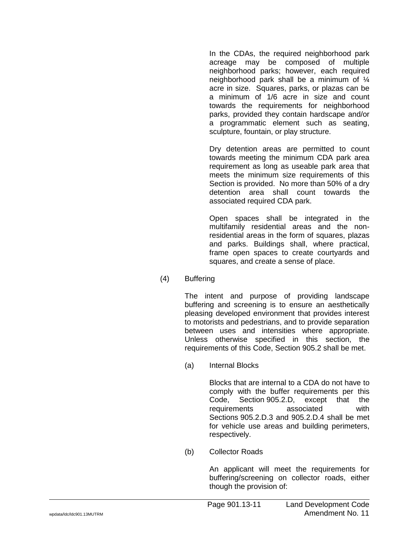In the CDAs, the required neighborhood park acreage may be composed of multiple neighborhood parks; however, each required neighborhood park shall be a minimum of ¼ acre in size. Squares, parks, or plazas can be a minimum of 1/6 acre in size and count towards the requirements for neighborhood parks, provided they contain hardscape and/or a programmatic element such as seating, sculpture, fountain, or play structure.

Dry detention areas are permitted to count towards meeting the minimum CDA park area requirement as long as useable park area that meets the minimum size requirements of this Section is provided. No more than 50% of a dry detention area shall count towards the associated required CDA park.

Open spaces shall be integrated in the multifamily residential areas and the nonresidential areas in the form of squares, plazas and parks. Buildings shall, where practical, frame open spaces to create courtyards and squares, and create a sense of place.

(4) Buffering

The intent and purpose of providing landscape buffering and screening is to ensure an aesthetically pleasing developed environment that provides interest to motorists and pedestrians, and to provide separation between uses and intensities where appropriate. Unless otherwise specified in this section, the requirements of this Code, Section 905.2 shall be met.

(a) Internal Blocks

Blocks that are internal to a CDA do not have to comply with the buffer requirements per this Code, Section 905.2.D, except that the requirements associated with Sections 905.2.D.3 and 905.2.D.4 shall be met for vehicle use areas and building perimeters, respectively.

(b) Collector Roads

An applicant will meet the requirements for buffering/screening on collector roads, either though the provision of: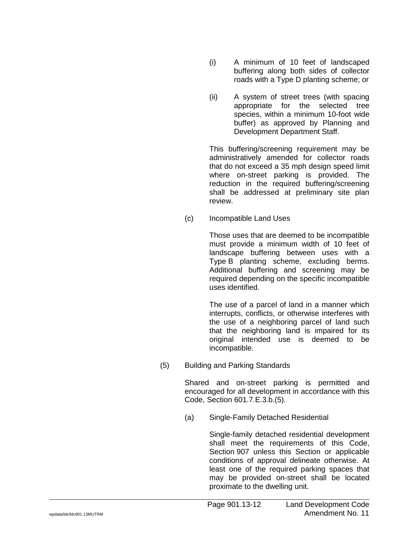- (i) A minimum of 10 feet of landscaped buffering along both sides of collector roads with a Type D planting scheme; or
- (ii) A system of street trees (with spacing appropriate for the selected tree species, within a minimum 10-foot wide buffer) as approved by Planning and Development Department Staff.

This buffering/screening requirement may be administratively amended for collector roads that do not exceed a 35 mph design speed limit where on-street parking is provided. The reduction in the required buffering/screening shall be addressed at preliminary site plan review.

(c) Incompatible Land Uses

Those uses that are deemed to be incompatible must provide a minimum width of 10 feet of landscape buffering between uses with a Type B planting scheme, excluding berms. Additional buffering and screening may be required depending on the specific incompatible uses identified.

The use of a parcel of land in a manner which interrupts, conflicts, or otherwise interferes with the use of a neighboring parcel of land such that the neighboring land is impaired for its original intended use is deemed to be incompatible.

(5) Building and Parking Standards

Shared and on-street parking is permitted and encouraged for all development in accordance with this Code, Section 601.7.E.3.b.(5).

(a) Single-Family Detached Residential

Single-family detached residential development shall meet the requirements of this Code, Section 907 unless this Section or applicable conditions of approval delineate otherwise. At least one of the required parking spaces that may be provided on-street shall be located proximate to the dwelling unit.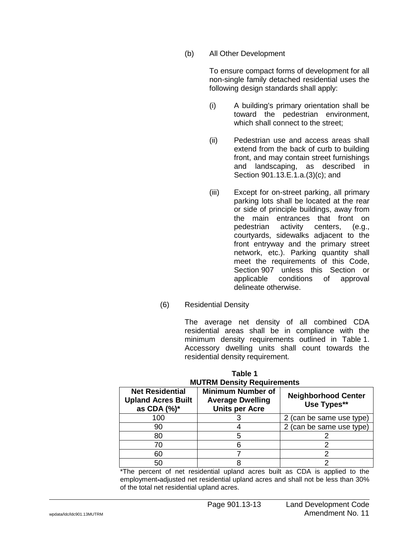### (b) All Other Development

To ensure compact forms of development for all non-single family detached residential uses the following design standards shall apply:

- (i) A building's primary orientation shall be toward the pedestrian environment, which shall connect to the street;
- (ii) Pedestrian use and access areas shall extend from the back of curb to building front, and may contain street furnishings and landscaping, as described in Section 901.13.E.1.a.(3)(c); and
- (iii) Except for on-street parking, all primary parking lots shall be located at the rear or side of principle buildings, away from the main entrances that front on pedestrian activity centers, (e.g., courtyards, sidewalks adjacent to the front entryway and the primary street network, etc.). Parking quantity shall meet the requirements of this Code, Section 907 unless this Section or applicable conditions of approval delineate otherwise.
- (6) Residential Density

The average net density of all combined CDA residential areas shall be in compliance with the minimum density requirements outlined in Table 1. Accessory dwelling units shall count towards the residential density requirement.

| <b>Net Residential</b><br><b>Upland Acres Built</b><br>as CDA (%)* | <b>Minimum Number of</b><br><b>Average Dwelling</b><br><b>Units per Acre</b> | <b>Neighborhood Center</b><br>Use Types** |
|--------------------------------------------------------------------|------------------------------------------------------------------------------|-------------------------------------------|
| 100                                                                |                                                                              | 2 (can be same use type)                  |
| 90                                                                 |                                                                              | 2 (can be same use type)                  |
| 80                                                                 |                                                                              |                                           |
| 70                                                                 |                                                                              |                                           |
| 60                                                                 |                                                                              |                                           |
| 50                                                                 |                                                                              |                                           |

**Table 1 MUTRM Density Requirements**

\*The percent of net residential upland acres built as CDA is applied to the employment-adjusted net residential upland acres and shall not be less than 30% of the total net residential upland acres.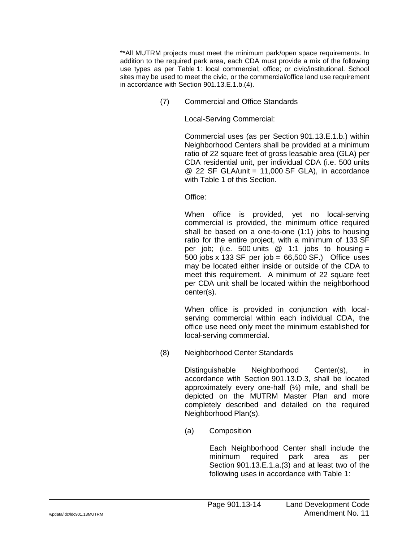\*\*All MUTRM projects must meet the minimum park/open space requirements. In addition to the required park area, each CDA must provide a mix of the following use types as per Table 1: local commercial; office; or civic/institutional. School sites may be used to meet the civic, or the commercial/office land use requirement in accordance with Section 901.13.E.1.b.(4).

(7) Commercial and Office Standards

Local-Serving Commercial:

Commercial uses (as per Section 901.13.E.1.b.) within Neighborhood Centers shall be provided at a minimum ratio of 22 square feet of gross leasable area (GLA) per CDA residential unit, per individual CDA (i.e. 500 units @ 22 SF GLA/unit = 11,000 SF GLA), in accordance with Table 1 of this Section.

Office:

When office is provided, yet no local-serving commercial is provided, the minimum office required shall be based on a one-to-one (1:1) jobs to housing ratio for the entire project, with a minimum of 133 SF per job; (i.e. 500 units  $@ 1:1$  jobs to housing = 500 jobs x 133 SF per job = 66,500 SF.) Office uses may be located either inside or outside of the CDA to meet this requirement. A minimum of 22 square feet per CDA unit shall be located within the neighborhood center(s).

When office is provided in conjunction with localserving commercial within each individual CDA, the office use need only meet the minimum established for local-serving commercial.

(8) Neighborhood Center Standards

Distinguishable Neighborhood Center(s), in accordance with Section 901.13.D.3, shall be located approximately every one-half  $(\frac{1}{2})$  mile, and shall be depicted on the MUTRM Master Plan and more completely described and detailed on the required Neighborhood Plan(s).

(a) Composition

Each Neighborhood Center shall include the minimum required park area as per Section 901.13.E.1.a.(3) and at least two of the following uses in accordance with Table 1: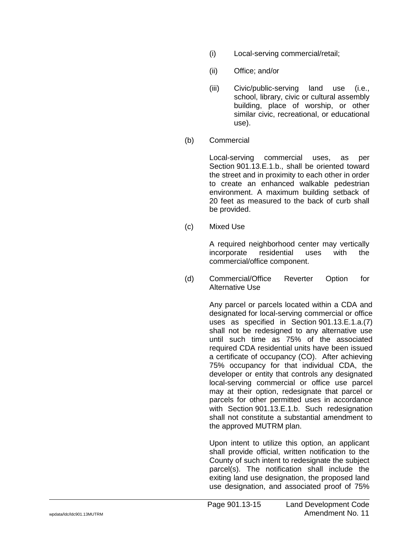- (i) Local-serving commercial/retail;
- (ii) Office; and/or
- (iii) Civic/public-serving land use (i.e., school, library, civic or cultural assembly building, place of worship, or other similar civic, recreational, or educational use).
- (b) Commercial

Local-serving commercial uses, as per Section 901.13.E.1.b., shall be oriented toward the street and in proximity to each other in order to create an enhanced walkable pedestrian environment. A maximum building setback of 20 feet as measured to the back of curb shall be provided.

(c) Mixed Use

A required neighborhood center may vertically incorporate residential uses with the commercial/office component.

(d) Commercial/Office Reverter Option for Alternative Use

> Any parcel or parcels located within a CDA and designated for local-serving commercial or office uses as specified in Section 901.13.E.1.a.(7) shall not be redesigned to any alternative use until such time as 75% of the associated required CDA residential units have been issued a certificate of occupancy (CO). After achieving 75% occupancy for that individual CDA, the developer or entity that controls any designated local-serving commercial or office use parcel may at their option, redesignate that parcel or parcels for other permitted uses in accordance with Section 901.13.E.1.b. Such redesignation shall not constitute a substantial amendment to the approved MUTRM plan.

Upon intent to utilize this option, an applicant shall provide official, written notification to the County of such intent to redesignate the subject parcel(s). The notification shall include the exiting land use designation, the proposed land use designation, and associated proof of 75%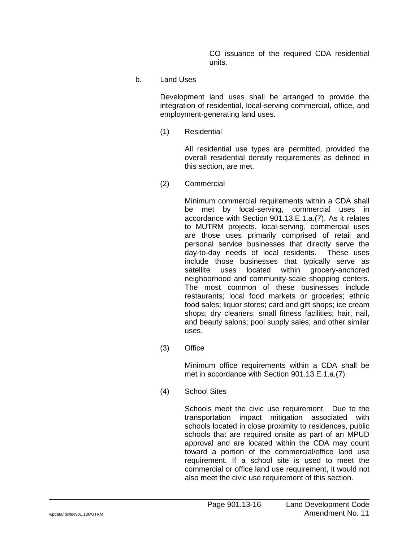CO issuance of the required CDA residential units.

b. Land Uses

Development land uses shall be arranged to provide the integration of residential, local-serving commercial, office, and employment-generating land uses.

(1) Residential

All residential use types are permitted, provided the overall residential density requirements as defined in this section, are met.

(2) Commercial

Minimum commercial requirements within a CDA shall be met by local-serving, commercial uses in accordance with Section 901.13.E.1.a.(7). As it relates to MUTRM projects, local-serving, commercial uses are those uses primarily comprised of retail and personal service businesses that directly serve the day-to-day needs of local residents. These uses include those businesses that typically serve as satellite uses located within grocery-anchored neighborhood and community-scale shopping centers. The most common of these businesses include restaurants; local food markets or groceries; ethnic food sales; liquor stores; card and gift shops; ice cream shops; dry cleaners; small fitness facilities; hair, nail, and beauty salons; pool supply sales; and other similar uses.

(3) Office

Minimum office requirements within a CDA shall be met in accordance with Section 901.13.E.1.a.(7).

(4) School Sites

Schools meet the civic use requirement. Due to the transportation impact mitigation associated with schools located in close proximity to residences, public schools that are required onsite as part of an MPUD approval and are located within the CDA may count toward a portion of the commercial/office land use requirement. If a school site is used to meet the commercial or office land use requirement, it would not also meet the civic use requirement of this section.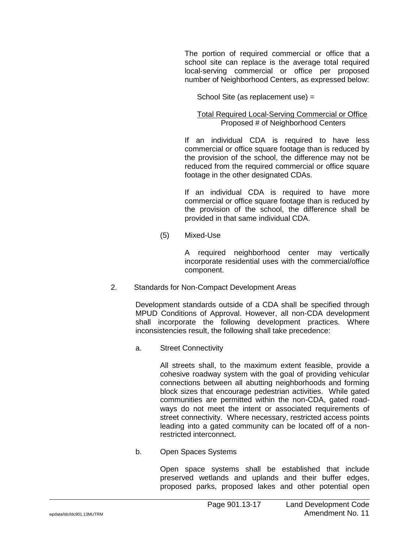The portion of required commercial or office that a school site can replace is the average total required local-serving commercial or office per proposed number of Neighborhood Centers, as expressed below:

School Site (as replacement use) =

Total Required Local-Serving Commercial or Office Proposed # of Neighborhood Centers

If an individual CDA is required to have less commercial or office square footage than is reduced by the provision of the school, the difference may not be reduced from the required commercial or office square footage in the other designated CDAs.

If an individual CDA is required to have more commercial or office square footage than is reduced by the provision of the school, the difference shall be provided in that same individual CDA.

(5) Mixed-Use

A required neighborhood center may vertically incorporate residential uses with the commercial/office component.

2. Standards for Non-Compact Development Areas

Development standards outside of a CDA shall be specified through MPUD Conditions of Approval. However, all non-CDA development shall incorporate the following development practices. Where inconsistencies result, the following shall take precedence:

a. Street Connectivity

All streets shall, to the maximum extent feasible, provide a cohesive roadway system with the goal of providing vehicular connections between all abutting neighborhoods and forming block sizes that encourage pedestrian activities. While gated communities are permitted within the non-CDA, gated roadways do not meet the intent or associated requirements of street connectivity. Where necessary, restricted access points leading into a gated community can be located off of a nonrestricted interconnect.

b. Open Spaces Systems

Open space systems shall be established that include preserved wetlands and uplands and their buffer edges, proposed parks, proposed lakes and other potential open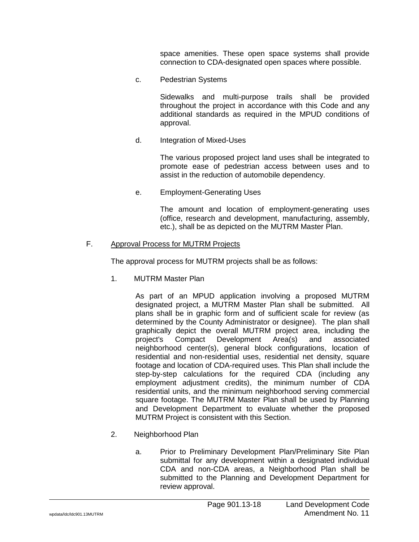space amenities. These open space systems shall provide connection to CDA-designated open spaces where possible.

c. Pedestrian Systems

Sidewalks and multi-purpose trails shall be provided throughout the project in accordance with this Code and any additional standards as required in the MPUD conditions of approval.

d. Integration of Mixed-Uses

The various proposed project land uses shall be integrated to promote ease of pedestrian access between uses and to assist in the reduction of automobile dependency.

e. Employment-Generating Uses

The amount and location of employment-generating uses (office, research and development, manufacturing, assembly, etc.), shall be as depicted on the MUTRM Master Plan.

### F. Approval Process for MUTRM Projects

The approval process for MUTRM projects shall be as follows:

1. MUTRM Master Plan

As part of an MPUD application involving a proposed MUTRM designated project, a MUTRM Master Plan shall be submitted. All plans shall be in graphic form and of sufficient scale for review (as determined by the County Administrator or designee). The plan shall graphically depict the overall MUTRM project area, including the project's Compact Development Area(s) and associated neighborhood center(s), general block configurations, location of residential and non-residential uses, residential net density, square footage and location of CDA-required uses. This Plan shall include the step-by-step calculations for the required CDA (including any employment adjustment credits), the minimum number of CDA residential units, and the minimum neighborhood serving commercial square footage. The MUTRM Master Plan shall be used by Planning and Development Department to evaluate whether the proposed MUTRM Project is consistent with this Section.

- 2. Neighborhood Plan
	- a. Prior to Preliminary Development Plan/Preliminary Site Plan submittal for any development within a designated individual CDA and non-CDA areas, a Neighborhood Plan shall be submitted to the Planning and Development Department for review approval.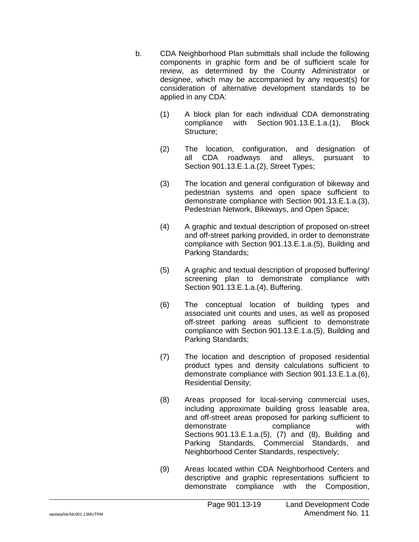- b. CDA Neighborhood Plan submittals shall include the following components in graphic form and be of sufficient scale for review, as determined by the County Administrator or designee, which may be accompanied by any request(s) for consideration of alternative development standards to be applied in any CDA:
	- (1) A block plan for each individual CDA demonstrating compliance with Section 901.13.E.1.a.(1), Block Structure;
	- (2) The location, configuration, and designation of all CDA roadways and alleys, pursuant to Section 901.13.E.1.a.(2), Street Types;
	- (3) The location and general configuration of bikeway and pedestrian systems and open space sufficient to demonstrate compliance with Section 901.13.E.1.a.(3), Pedestrian Network, Bikeways, and Open Space;
	- (4) A graphic and textual description of proposed on-street and off-street parking provided, in order to demonstrate compliance with Section 901.13.E.1.a.(5), Building and Parking Standards;
	- (5) A graphic and textual description of proposed buffering/ screening plan to demonstrate compliance with Section 901.13.E.1.a.(4), Buffering.
	- (6) The conceptual location of building types and associated unit counts and uses, as well as proposed off-street parking areas sufficient to demonstrate compliance with Section 901.13.E.1.a.(5), Building and Parking Standards;
	- (7) The location and description of proposed residential product types and density calculations sufficient to demonstrate compliance with Section 901.13.E.1.a.(6), Residential Density;
	- (8) Areas proposed for local-serving commercial uses, including approximate building gross leasable area, and off-street areas proposed for parking sufficient to demonstrate compliance with Sections 901.13.E.1.a.(5), (7) and (8), Building and Parking Standards, Commercial Standards, and Neighborhood Center Standards, respectively;
	- (9) Areas located within CDA Neighborhood Centers and descriptive and graphic representations sufficient to demonstrate compliance with the Composition,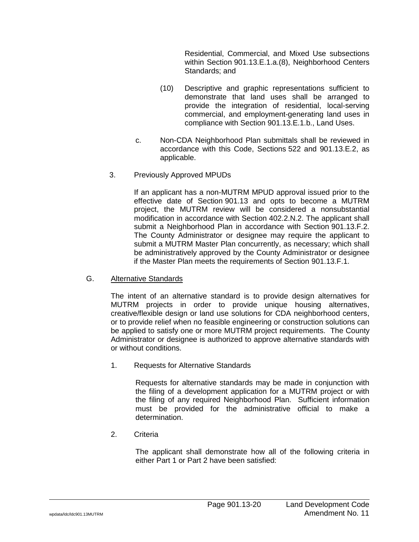Residential, Commercial, and Mixed Use subsections within Section 901.13.E.1.a.(8), Neighborhood Centers Standards; and

- (10) Descriptive and graphic representations sufficient to demonstrate that land uses shall be arranged to provide the integration of residential, local-serving commercial, and employment-generating land uses in compliance with Section 901.13.E.1.b., Land Uses.
- c. Non-CDA Neighborhood Plan submittals shall be reviewed in accordance with this Code, Sections 522 and 901.13.E.2, as applicable.
- 3. Previously Approved MPUDs

If an applicant has a non-MUTRM MPUD approval issued prior to the effective date of Section 901.13 and opts to become a MUTRM project, the MUTRM review will be considered a nonsubstantial modification in accordance with Section 402.2.N.2. The applicant shall submit a Neighborhood Plan in accordance with Section 901.13.F.2. The County Administrator or designee may require the applicant to submit a MUTRM Master Plan concurrently, as necessary; which shall be administratively approved by the County Administrator or designee if the Master Plan meets the requirements of Section 901.13.F.1.

G. Alternative Standards

The intent of an alternative standard is to provide design alternatives for MUTRM projects in order to provide unique housing alternatives, creative/flexible design or land use solutions for CDA neighborhood centers, or to provide relief when no feasible engineering or construction solutions can be applied to satisfy one or more MUTRM project requirements. The County Administrator or designee is authorized to approve alternative standards with or without conditions.

1. Requests for Alternative Standards

Requests for alternative standards may be made in conjunction with the filing of a development application for a MUTRM project or with the filing of any required Neighborhood Plan. Sufficient information must be provided for the administrative official to make a determination.

2. Criteria

The applicant shall demonstrate how all of the following criteria in either Part 1 or Part 2 have been satisfied: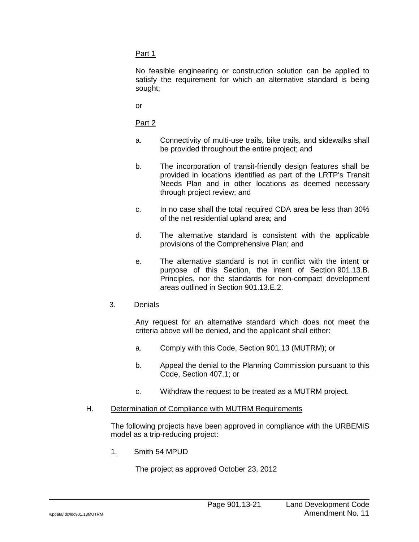### Part 1

No feasible engineering or construction solution can be applied to satisfy the requirement for which an alternative standard is being sought;

or

Part 2

- a. Connectivity of multi-use trails, bike trails, and sidewalks shall be provided throughout the entire project; and
- b. The incorporation of transit-friendly design features shall be provided in locations identified as part of the LRTP's Transit Needs Plan and in other locations as deemed necessary through project review; and
- c. In no case shall the total required CDA area be less than 30% of the net residential upland area; and
- d. The alternative standard is consistent with the applicable provisions of the Comprehensive Plan; and
- e. The alternative standard is not in conflict with the intent or purpose of this Section, the intent of Section 901.13.B. Principles, nor the standards for non-compact development areas outlined in Section 901.13.E.2.
- 3. Denials

Any request for an alternative standard which does not meet the criteria above will be denied, and the applicant shall either:

- a. Comply with this Code, Section 901.13 (MUTRM); or
- b. Appeal the denial to the Planning Commission pursuant to this Code, Section 407.1; or
- c. Withdraw the request to be treated as a MUTRM project.
- H. Determination of Compliance with MUTRM Requirements

The following projects have been approved in compliance with the URBEMIS model as a trip-reducing project:

1. Smith 54 MPUD

The project as approved October 23, 2012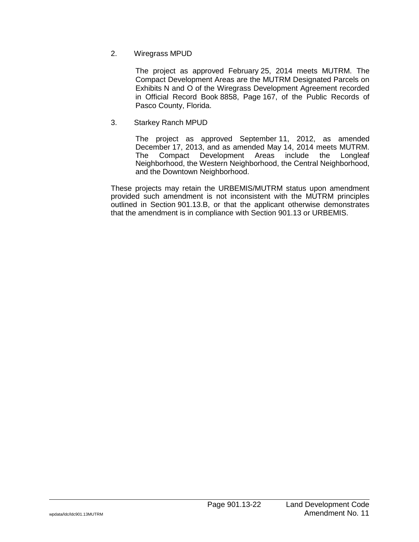# 2. Wiregrass MPUD

The project as approved February 25, 2014 meets MUTRM. The Compact Development Areas are the MUTRM Designated Parcels on Exhibits N and O of the Wiregrass Development Agreement recorded in Official Record Book 8858, Page 167, of the Public Records of Pasco County, Florida.

# 3. Starkey Ranch MPUD

The project as approved September 11, 2012, as amended December 17, 2013, and as amended May 14, 2014 meets MUTRM. The Compact Development Areas include the Longleaf Neighborhood, the Western Neighborhood, the Central Neighborhood, and the Downtown Neighborhood.

These projects may retain the URBEMIS/MUTRM status upon amendment provided such amendment is not inconsistent with the MUTRM principles outlined in Section 901.13.B, or that the applicant otherwise demonstrates that the amendment is in compliance with Section 901.13 or URBEMIS.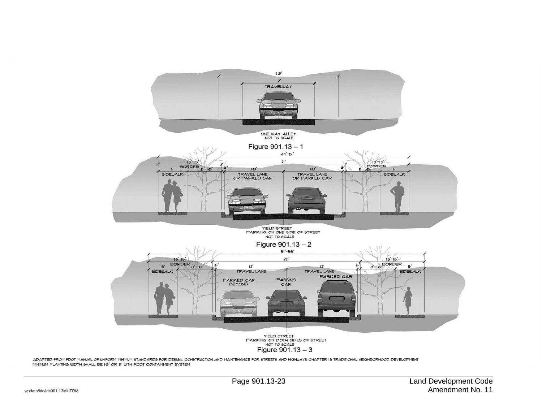

ADAPTED FROM FDOT MANUAL OF UNFORM MINIMUM STANDARDS FOR DESIGN, CONSTRUCTION AND MAINTENANCE FOR STREETS AND HIGHWAYS CHAPTER IS TRADITIONAL NEIGHBORHOOD DEVELOPMENT MINIMUM PLANTING WIDTH SHALL BE 10' OR 8' WITH ROOT CONTAINMENT SYSTEM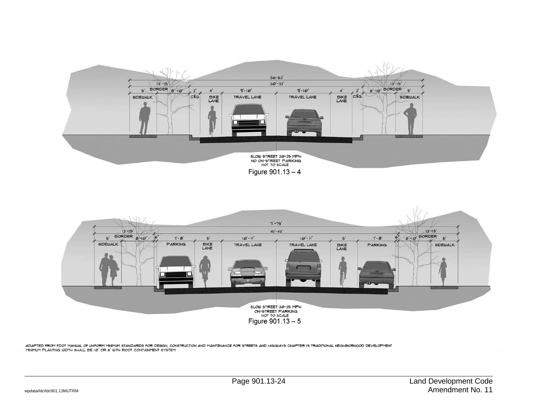

Figure  $901.13 - 4$ 



ADAPTED FROM FDOT MANUAL OF UNFORM MINIMUM STANDARDS FOR DESIGN, CONSTRUCTION AND MAINTENANCE FOR STREETS AND HIGHWAYS CHAPTER IS TRADITIONAL NEIGHBORHOOD DEVELOPMENT MINIMUM PLANTING WIDTH SHALL BE 10' OR 8' WITH ROOT CONTAINMENT SYSTEM